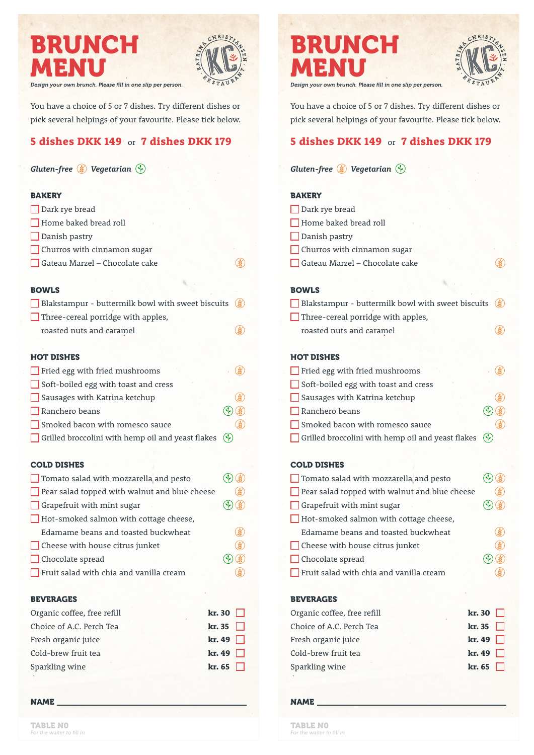# BRUNCH MEN



*Design your own brunch. Please fill in one slip per person.*

You have a choice of 5 or 7 dishes. Try different dishes or pick several helpings of your favourite. Please tick below.

## 5 dishes DKK 149 or 7 dishes DKK 179

### *Gluten-free Vegetarian*  $\Diamond$

### **BAKERY**

| $\Box$ Dark rye bread              |  |
|------------------------------------|--|
| Home baked bread roll              |  |
| Danish pastry                      |  |
| $\Box$ Churros with cinnamon sugar |  |
| Gateau Marzel - Chocolate cake     |  |
|                                    |  |

### BOWLS

| Blakstampur - buttermilk bowl with sweet biscuits | $\left( \frac{1}{2} \right)$ |
|---------------------------------------------------|------------------------------|
| Three-cereal porridge with apples,                |                              |
| roasted nuts and caramel                          |                              |
|                                                   |                              |

### HOT DISHES

| $\Box$ Fried egg with fried mushrooms                        |   |
|--------------------------------------------------------------|---|
| Soft-boiled egg with toast and cress                         |   |
| $\Box$ Sausages with Katrina ketchup                         | ¥ |
| $\Box$ Ranchero beans                                        |   |
| Smoked bacon with romesco sauce                              |   |
| Grilled broccolini with hemp oil and yeast flakes $\Diamond$ |   |

## COLD DISHES

| Tomato salad with mozzarella and pesto               |   |
|------------------------------------------------------|---|
| $\Box$ Pear salad topped with walnut and blue cheese |   |
| $\Box$ Grapefruit with mint sugar                    |   |
| Hot-smoked salmon with cottage cheese,               |   |
| Edamame beans and toasted buckwheat                  | s |
| $\Box$ Cheese with house citrus junket               |   |
| <b>Chocolate</b> spread                              |   |
| Fruit salad with chia and vanilla cream              |   |
|                                                      |   |

#### BEVERAGES

| kr. 30 $\Box$ |  |
|---------------|--|
| kr. 35 $\Box$ |  |
| kr. 49        |  |
| kr. 49        |  |
| kr. $65$      |  |
|               |  |





*Design your own brunch. Please fill in one slip per person.*

You have a choice of 5 or 7 dishes. Try different dishes or pick several helpings of your favourite. Please tick below.

### 5 dishes DKK 149 or 7 dishes DKK 179

*Gluten-free Vegetarian*  $\circledast$ 

### **BAKERY**

| $\Box$ Dark rye bread                             |     |
|---------------------------------------------------|-----|
| Home baked bread roll                             |     |
| Danish pastry                                     |     |
| $\Box$ Churros with cinnamon sugar                |     |
| Gateau Marzel - Chocolate cake                    |     |
|                                                   |     |
| <b>BOWLS</b>                                      |     |
| Blakstampur - buttermilk bowl with sweet biscuits | (≌^ |
| Three-cereal porridge with apples,                |     |
| roasted nuts and caramel                          |     |
|                                                   |     |

### HOT DISHES

| $\Box$ Fried egg with fried mushrooms                        |   |
|--------------------------------------------------------------|---|
| Soft-boiled egg with toast and cress                         |   |
| Sausages with Katrina ketchup                                | ¥ |
| $\Box$ Ranchero beans                                        |   |
| Smoked bacon with romesco sauce                              |   |
| Grilled broccolini with hemp oil and yeast flakes $\Diamond$ |   |
|                                                              |   |

#### COLD DISHES

| Tomato salad with mozzarella and pesto        |       |
|-----------------------------------------------|-------|
| Pear salad topped with walnut and blue cheese | ′ક્ષ∕ |
| $\Box$ Grapefruit with mint sugar             |       |
| Hot-smoked salmon with cottage cheese,        |       |
| Edamame beans and toasted buckwheat           | ¥     |
| $\Box$ Cheese with house citrus junket        | ัะ    |
| Chocolate spread                              |       |
| Fruit salad with chia and vanilla cream       |       |

#### BEVERAGES

| kr. 30 $\Box$ |  |
|---------------|--|
| kr. 35 $\Box$ |  |
| kr. 49 $\Box$ |  |
| kr. 49        |  |
| kr. 65 $\Box$ |  |
|               |  |

#### NAME NAME

**TABLE NO**<br>For the waiter to fill in<br>For the waiter to fill in For the waiter to fill in **Formulation For the waiter to fill in For the waiter to fill in**